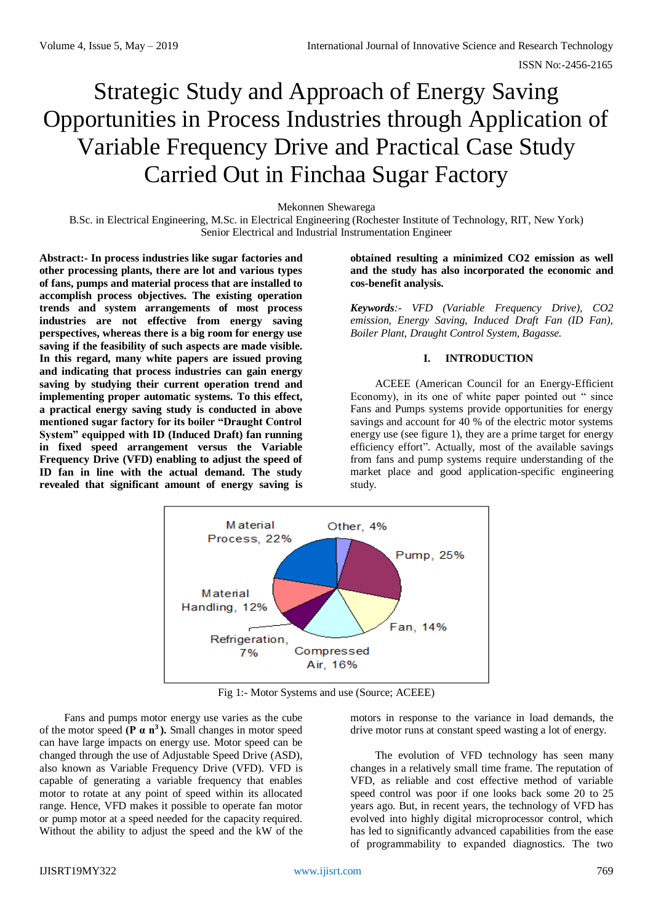# Strategic Study and Approach of Energy Saving Opportunities in Process Industries through Application of Variable Frequency Drive and Practical Case Study Carried Out in Finchaa Sugar Factory

Mekonnen Shewarega

B.Sc. in Electrical Engineering, M.Sc. in Electrical Engineering (Rochester Institute of Technology, RIT, New York) Senior Electrical and Industrial Instrumentation Engineer

**Abstract:- In process industries like sugar factories and other processing plants, there are lot and various types of fans, pumps and material process that are installed to accomplish process objectives. The existing operation trends and system arrangements of most process industries are not effective from energy saving perspectives, whereas there is a big room for energy use saving if the feasibility of such aspects are made visible. In this regard, many white papers are issued proving and indicating that process industries can gain energy saving by studying their current operation trend and implementing proper automatic systems. To this effect, a practical energy saving study is conducted in above mentioned sugar factory for its boiler "Draught Control System" equipped with ID (Induced Draft) fan running in fixed speed arrangement versus the Variable Frequency Drive (VFD) enabling to adjust the speed of ID fan in line with the actual demand. The study revealed that significant amount of energy saving is** 

**obtained resulting a minimized CO2 emission as well and the study has also incorporated the economic and cos-benefit analysis.**

*Keywords:- VFD (Variable Frequency Drive), CO2 emission, Energy Saving, Induced Draft Fan (ID Fan), Boiler Plant, Draught Control System, Bagasse.*

# **I. INTRODUCTION**

ACEEE (American Council for an Energy-Efficient Economy), in its one of white paper pointed out " since Fans and Pumps systems provide opportunities for energy savings and account for 40 % of the electric motor systems energy use (see figure 1), they are a prime target for energy efficiency effort". Actually, most of the available savings from fans and pump systems require understanding of the market place and good application-specific engineering study.



Fig 1:- Motor Systems and use (Source; ACEEE)

Fans and pumps motor energy use varies as the cube of the motor speed  $(P \alpha n^3)$ . Small changes in motor speed can have large impacts on energy use. Motor speed can be changed through the use of Adjustable Speed Drive (ASD), also known as Variable Frequency Drive (VFD). VFD is capable of generating a variable frequency that enables motor to rotate at any point of speed within its allocated range. Hence, VFD makes it possible to operate fan motor or pump motor at a speed needed for the capacity required. Without the ability to adjust the speed and the kW of the

motors in response to the variance in load demands, the drive motor runs at constant speed wasting a lot of energy.

The evolution of VFD technology has seen many changes in a relatively small time frame. The reputation of VFD, as reliable and cost effective method of variable speed control was poor if one looks back some 20 to 25 years ago. But, in recent years, the technology of VFD has evolved into highly digital microprocessor control, which has led to significantly advanced capabilities from the ease of programmability to expanded diagnostics. The two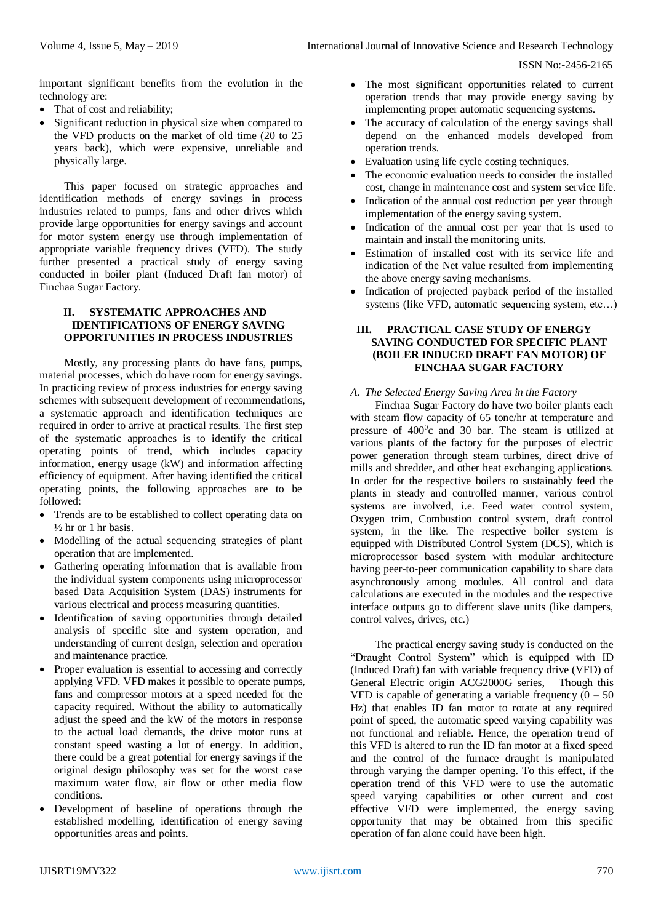ISSN No:-2456-2165

important significant benefits from the evolution in the technology are:

- That of cost and reliability;
- Significant reduction in physical size when compared to the VFD products on the market of old time (20 to 25 years back), which were expensive, unreliable and physically large.

This paper focused on strategic approaches and identification methods of energy savings in process industries related to pumps, fans and other drives which provide large opportunities for energy savings and account for motor system energy use through implementation of appropriate variable frequency drives (VFD). The study further presented a practical study of energy saving conducted in boiler plant (Induced Draft fan motor) of Finchaa Sugar Factory.

### **II. SYSTEMATIC APPROACHES AND IDENTIFICATIONS OF ENERGY SAVING OPPORTUNITIES IN PROCESS INDUSTRIES**

Mostly, any processing plants do have fans, pumps, material processes, which do have room for energy savings. In practicing review of process industries for energy saving schemes with subsequent development of recommendations, a systematic approach and identification techniques are required in order to arrive at practical results. The first step of the systematic approaches is to identify the critical operating points of trend, which includes capacity information, energy usage (kW) and information affecting efficiency of equipment. After having identified the critical operating points, the following approaches are to be followed:

- Trends are to be established to collect operating data on  $\frac{1}{2}$  hr or 1 hr basis.
- Modelling of the actual sequencing strategies of plant operation that are implemented.
- Gathering operating information that is available from the individual system components using microprocessor based Data Acquisition System (DAS) instruments for various electrical and process measuring quantities.
- Identification of saving opportunities through detailed analysis of specific site and system operation, and understanding of current design, selection and operation and maintenance practice.
- Proper evaluation is essential to accessing and correctly applying VFD. VFD makes it possible to operate pumps, fans and compressor motors at a speed needed for the capacity required. Without the ability to automatically adjust the speed and the kW of the motors in response to the actual load demands, the drive motor runs at constant speed wasting a lot of energy. In addition, there could be a great potential for energy savings if the original design philosophy was set for the worst case maximum water flow, air flow or other media flow conditions.
- Development of baseline of operations through the established modelling, identification of energy saving opportunities areas and points.
- The most significant opportunities related to current operation trends that may provide energy saving by implementing proper automatic sequencing systems.
- The accuracy of calculation of the energy savings shall depend on the enhanced models developed from operation trends.
- Evaluation using life cycle costing techniques.
- The economic evaluation needs to consider the installed cost, change in maintenance cost and system service life.
- Indication of the annual cost reduction per year through implementation of the energy saving system.
- Indication of the annual cost per year that is used to maintain and install the monitoring units.
- Estimation of installed cost with its service life and indication of the Net value resulted from implementing the above energy saving mechanisms.
- Indication of projected payback period of the installed systems (like VFD, automatic sequencing system, etc…)

# **III. PRACTICAL CASE STUDY OF ENERGY SAVING CONDUCTED FOR SPECIFIC PLANT (BOILER INDUCED DRAFT FAN MOTOR) OF FINCHAA SUGAR FACTORY**

# *A. The Selected Energy Saving Area in the Factory*

Finchaa Sugar Factory do have two boiler plants each with steam flow capacity of 65 tone/hr at temperature and pressure of 400<sup>0</sup>c and 30 bar. The steam is utilized at various plants of the factory for the purposes of electric power generation through steam turbines, direct drive of mills and shredder, and other heat exchanging applications. In order for the respective boilers to sustainably feed the plants in steady and controlled manner, various control systems are involved, i.e. Feed water control system, Oxygen trim, Combustion control system, draft control system, in the like. The respective boiler system is equipped with Distributed Control System (DCS), which is microprocessor based system with modular architecture having peer-to-peer communication capability to share data asynchronously among modules. All control and data calculations are executed in the modules and the respective interface outputs go to different slave units (like dampers, control valves, drives, etc.)

The practical energy saving study is conducted on the "Draught Control System" which is equipped with ID (Induced Draft) fan with variable frequency drive (VFD) of General Electric origin ACG2000G series, Though this VFD is capable of generating a variable frequency  $(0 - 50)$ Hz) that enables ID fan motor to rotate at any required point of speed, the automatic speed varying capability was not functional and reliable. Hence, the operation trend of this VFD is altered to run the ID fan motor at a fixed speed and the control of the furnace draught is manipulated through varying the damper opening. To this effect, if the operation trend of this VFD were to use the automatic speed varying capabilities or other current and cost effective VFD were implemented, the energy saving opportunity that may be obtained from this specific operation of fan alone could have been high.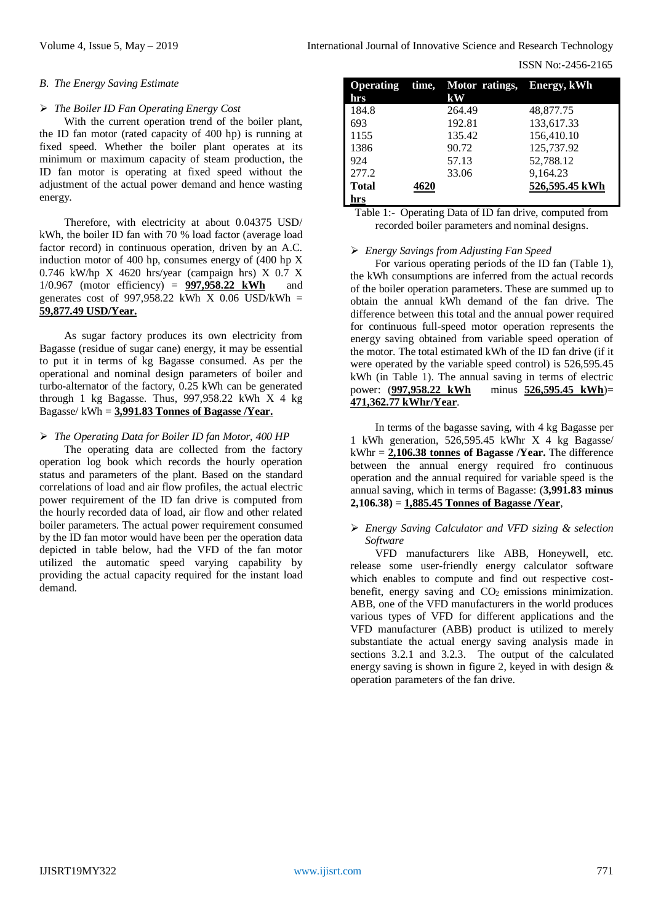#### *B. The Energy Saving Estimate*

#### *The Boiler ID Fan Operating Energy Cost*

With the current operation trend of the boiler plant, the ID fan motor (rated capacity of 400 hp) is running at fixed speed. Whether the boiler plant operates at its minimum or maximum capacity of steam production, the ID fan motor is operating at fixed speed without the adjustment of the actual power demand and hence wasting energy.

Therefore, with electricity at about 0.04375 USD/ kWh, the boiler ID fan with 70 % load factor (average load factor record) in continuous operation, driven by an A.C. induction motor of 400 hp, consumes energy of (400 hp X 0.746 kW/hp X 4620 hrs/year (campaign hrs)  $\overline{X}$  0.7 X 1/0.967 (motor efficiency) = **997,958.22 kWh** and generates cost of 997,958.22 kWh X 0.06 USD/kWh = **59,877.49 USD/Year.**

As sugar factory produces its own electricity from Bagasse (residue of sugar cane) energy, it may be essential to put it in terms of kg Bagasse consumed. As per the operational and nominal design parameters of boiler and turbo-alternator of the factory, 0.25 kWh can be generated through 1 kg Bagasse. Thus, 997,958.22 kWh X 4 kg Bagasse/ kWh = **3,991.83 Tonnes of Bagasse /Year.**

*The Operating Data for Boiler ID fan Motor, 400 HP*

The operating data are collected from the factory operation log book which records the hourly operation status and parameters of the plant. Based on the standard correlations of load and air flow profiles, the actual electric power requirement of the ID fan drive is computed from the hourly recorded data of load, air flow and other related boiler parameters. The actual power requirement consumed by the ID fan motor would have been per the operation data depicted in table below, had the VFD of the fan motor utilized the automatic speed varying capability by providing the actual capacity required for the instant load demand.

| hrs          |      | Operating time, Motor ratings, Energy, kWh<br>kW |                |
|--------------|------|--------------------------------------------------|----------------|
| 184.8        |      | 264.49                                           | 48,877.75      |
| 693          |      | 192.81                                           | 133,617.33     |
| 1155         |      | 135.42                                           | 156,410.10     |
| 1386         |      | 90.72                                            | 125,737.92     |
| 924          |      | 57.13                                            | 52,788.12      |
| 277.2        |      | 33.06                                            | 9,164.23       |
| <b>Total</b> | 4620 |                                                  | 526,595.45 kWh |
| hrs          |      |                                                  |                |

Table 1:- Operating Data of ID fan drive, computed from recorded boiler parameters and nominal designs.

#### *Energy Savings from Adjusting Fan Speed*

For various operating periods of the ID fan (Table 1), the kWh consumptions are inferred from the actual records of the boiler operation parameters. These are summed up to obtain the annual kWh demand of the fan drive. The difference between this total and the annual power required for continuous full-speed motor operation represents the energy saving obtained from variable speed operation of the motor. The total estimated kWh of the ID fan drive (if it were operated by the variable speed control) is 526,595.45 kWh (in Table 1). The annual saving in terms of electric power:  $(997,958.22 \text{ kWh})$  minus 526,595.45 kWh minus **526,595.45** kWh)= **471,362.77 kWhr/Year**.

In terms of the bagasse saving, with 4 kg Bagasse per 1 kWh generation, 526,595.45 kWhr X 4 kg Bagasse/ kWhr = **2,106.38 tonnes of Bagasse /Year.** The difference between the annual energy required fro continuous operation and the annual required for variable speed is the annual saving, which in terms of Bagasse: (**3,991.83 minus 2,106.38)** = **1,885.45 Tonnes of Bagasse /Year**,

#### *Energy Saving Calculator and VFD sizing & selection Software*

VFD manufacturers like ABB, Honeywell, etc. release some user-friendly energy calculator software which enables to compute and find out respective costbenefit, energy saving and  $CO<sub>2</sub>$  emissions minimization. ABB, one of the VFD manufacturers in the world produces various types of VFD for different applications and the VFD manufacturer (ABB) product is utilized to merely substantiate the actual energy saving analysis made in sections 3.2.1 and 3.2.3. The output of the calculated energy saving is shown in figure 2, keyed in with design & operation parameters of the fan drive.